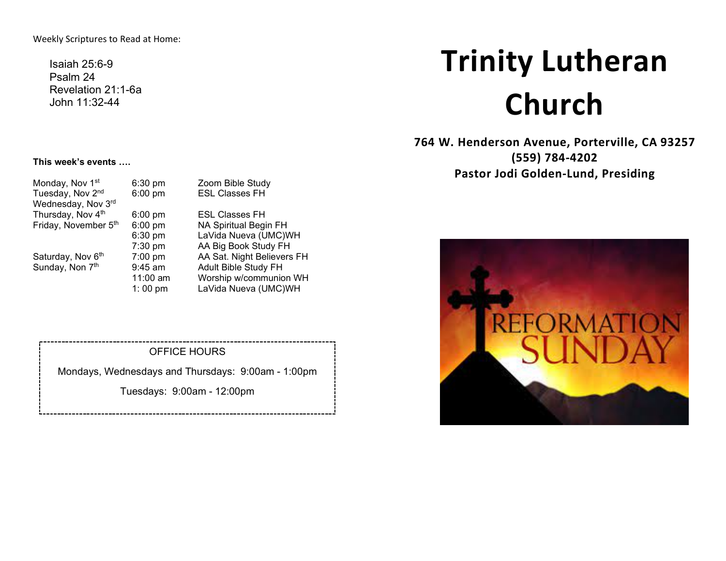Weekly Scriptures to Read at Home:

Isaiah 25:6-9 Psalm 24 Revelation 21:1-6a John 11:32-44

# **Trinity Lutheran Church**

**764 W. Henderson Avenue, Porterville, CA 93257 (559) 784-4202 Pastor Jodi Golden-Lund, Presiding**



#### **This week's events ….**

| Monday, Nov 1 <sup>st</sup>  | $6:30$ pm         | Zoom Bible Study             |
|------------------------------|-------------------|------------------------------|
| Tuesday, Nov 2 <sup>nd</sup> | $6:00$ pm         | <b>ESL Classes FH</b>        |
| Wednesday, Nov 3rd           |                   |                              |
| Thursday, Nov 4th            | $6:00 \text{ pm}$ | <b>ESL Classes FH</b>        |
| Friday, November 5th         | $6:00$ pm         | <b>NA Spiritual Begin FH</b> |
|                              | 6:30 pm           | LaVida Nueva (UMC)WH         |
|                              | 7:30 pm           | AA Big Book Study FH         |
| Saturday, Nov 6th            | $7:00$ pm         | AA Sat. Night Believers FH   |
| Sunday, Non 7th              | $9:45$ am         | Adult Bible Study FH         |
|                              | 11:00 am          | Worship w/communion WH       |
|                              | 1:00 pm           | LaVida Nueva (UMC)WH         |
|                              |                   |                              |

#### OFFICE HOURS

Mondays, Wednesdays and Thursdays: 9:00am - 1:00pm

Tuesdays: 9:00am - 12:00pm